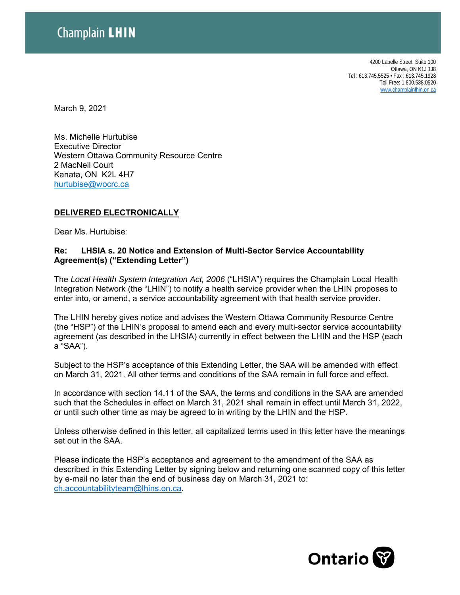4200 Labelle Street, Suite 100 Ottawa, ON K1J 1J8 Tel : 613.745.5525 • Fax : 613.745.1928 Toll Free: 1 800.538.0520 www.champlainlhin.on.ca

March 9, 2021

Ms. Michelle Hurtubise Executive Director Western Ottawa Community Resource Centre 2 MacNeil Court Kanata, ON K2L 4H7 hurtubise@wocrc.ca

## **DELIVERED ELECTRONICALLY**

Dear Ms. Hurtubise:

## **Re: LHSIA s. 20 Notice and Extension of Multi-Sector Service Accountability Agreement(s) ("Extending Letter")**

The *Local Health System Integration Act, 2006* ("LHSIA") requires the Champlain Local Health Integration Network (the "LHIN") to notify a health service provider when the LHIN proposes to enter into, or amend, a service accountability agreement with that health service provider.

The LHIN hereby gives notice and advises the Western Ottawa Community Resource Centre (the "HSP") of the LHIN's proposal to amend each and every multi-sector service accountability agreement (as described in the LHSIA) currently in effect between the LHIN and the HSP (each a "SAA").

Subject to the HSP's acceptance of this Extending Letter, the SAA will be amended with effect on March 31, 2021. All other terms and conditions of the SAA remain in full force and effect.

In accordance with section 14.11 of the SAA, the terms and conditions in the SAA are amended such that the Schedules in effect on March 31, 2021 shall remain in effect until March 31, 2022, or until such other time as may be agreed to in writing by the LHIN and the HSP.

Unless otherwise defined in this letter, all capitalized terms used in this letter have the meanings set out in the SAA.

Please indicate the HSP's acceptance and agreement to the amendment of the SAA as described in this Extending Letter by signing below and returning one scanned copy of this letter by e-mail no later than the end of business day on March 31, 2021 to: ch.accountabilityteam@lhins.on.ca.

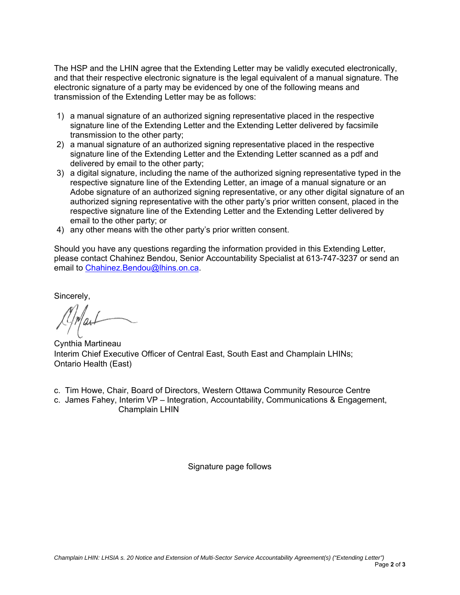The HSP and the LHIN agree that the Extending Letter may be validly executed electronically, and that their respective electronic signature is the legal equivalent of a manual signature. The electronic signature of a party may be evidenced by one of the following means and transmission of the Extending Letter may be as follows:

- 1) a manual signature of an authorized signing representative placed in the respective signature line of the Extending Letter and the Extending Letter delivered by facsimile transmission to the other party;
- 2) a manual signature of an authorized signing representative placed in the respective signature line of the Extending Letter and the Extending Letter scanned as a pdf and delivered by email to the other party;
- 3) a digital signature, including the name of the authorized signing representative typed in the respective signature line of the Extending Letter, an image of a manual signature or an Adobe signature of an authorized signing representative, or any other digital signature of an authorized signing representative with the other party's prior written consent, placed in the respective signature line of the Extending Letter and the Extending Letter delivered by email to the other party; or
- 4) any other means with the other party's prior written consent.

Should you have any questions regarding the information provided in this Extending Letter, please contact Chahinez Bendou, Senior Accountability Specialist at 613-747-3237 or send an email to Chahinez.Bendou@lhins.on.ca.

Sincerely,

Cynthia Martineau Interim Chief Executive Officer of Central East, South East and Champlain LHINs; Ontario Health (East)

- c. Tim Howe, Chair, Board of Directors, Western Ottawa Community Resource Centre
- c. James Fahey, Interim VP Integration, Accountability, Communications & Engagement, Champlain LHIN

Signature page follows